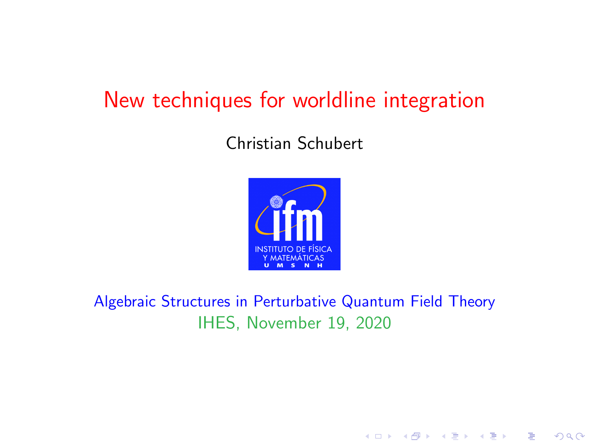### <span id="page-0-0"></span>New techniques for worldline integration

#### Christian Schubert



Algebraic Structures in Perturbative Quantum Field Theory IHES, November 19, 2020

メロト メタト メミト メミト

 $2Q$ 

准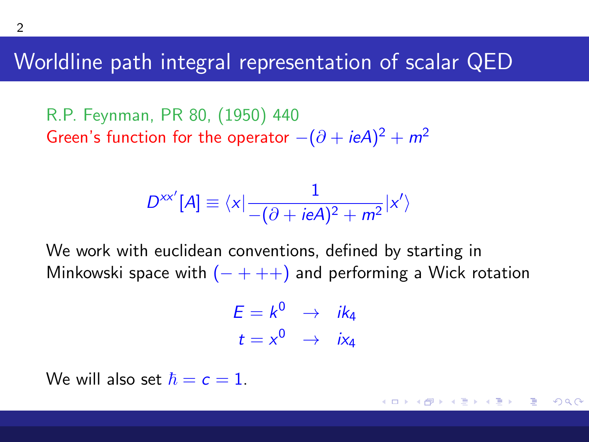Worldline path integral representation of scalar QED

R.P. Feynman, PR 80, (1950) 440 Green's function for the operator  $-(\partial + ieA)^2 + m^2$ 

$$
D^{xx'}[A] \equiv \langle x | \frac{1}{-(\partial + ieA)^2 + m^2} | x' \rangle
$$

We work with euclidean conventions, defined by starting in Minkowski space with  $(- + + +)$  and performing a Wick rotation

$$
E = k^0 \rightarrow ik_4
$$
  

$$
t = x^0 \rightarrow ix_4
$$

 $\sqrt{m}$   $\rightarrow$   $\sqrt{m}$   $\rightarrow$   $\sqrt{m}$ 

Ξ

 $\Omega$ 

We will also set  $\hbar = c = 1$ .

<span id="page-1-0"></span>2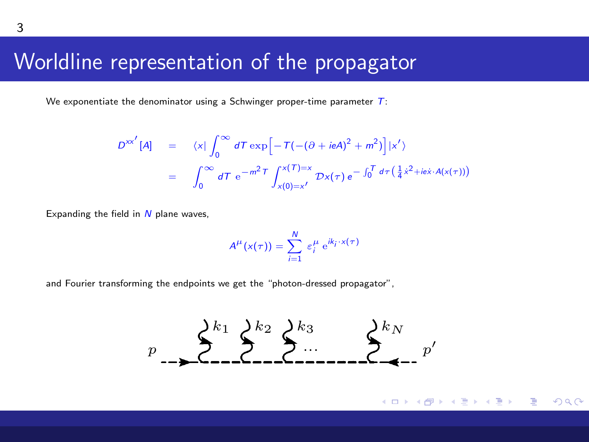# Worldline representation of the propagator<br>Morldline representation of the propagator

<span id="page-2-0"></span>We exponentiate the denominator using a Schwinger proper-time parameter  $T$ : " ) τi "N

$$
D^{xx'}[A] = \langle x | \int_0^\infty dT \exp\left[-T(-(\partial + ieA)^2 + m^2)\right]|x'\rangle
$$
  
= 
$$
\int_0^\infty dT \, e^{-m^2T} \int_{x(0)=x'}^{x(T)=x} Dx(\tau) \, e^{-\int_0^T d\tau \left(\frac{1}{4}x^2 + ie\dot{x} \cdot A(x(\tau))\right)}
$$

Expanding the field in  $N$  plane waves,  $T$  a representation of the multi-photon compton scattering diagram as depicted in FIG. 2 (to get  $\frac{1}{2}$   $\frac{1}{2}$   $\frac{1}{2}$   $\frac{1}{2}$   $\frac{1}{2}$   $\frac{1}{2}$   $\frac{1}{2}$   $\frac{1}{2}$   $\frac{1}{2}$   $\frac{1}{2}$   $\frac{1}{2}$   $\frac{1}{2}$   $\frac$ 

$$
A^\mu(\mathsf{x}(\tau)) = \sum_{i=1}^N \, \varepsilon_i^\mu \, \mathrm{e}^{i k_i \cdot \mathsf{x}(\tau)}
$$

and Fourier transforming the endpoints we get the "photon-dressed propagator",

$$
p \longrightarrow \sum_{n=1}^{k_1} \sum_{r=1}^{k_2} \sum_{r=1}^{k_3} \cdots \sum_{r=1}^{k_N} p^r
$$

FIG. 3: Multi-photon Compton-scatteri[ng](#page-1-0) [d](#page-1-0)[iag](#page-3-0)[ra](#page-1-0)[m.](#page-2-0)

ミト  $\rightarrow$   $\equiv$   $\rightarrow$  Ε

 $\Omega$ 

configuration space: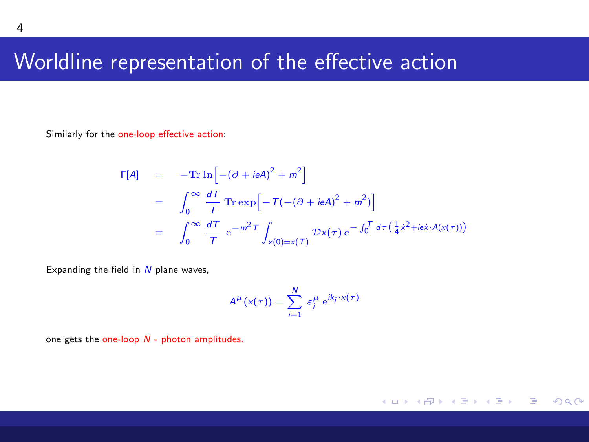#### <span id="page-3-0"></span>Worldline representation of the effective action

Similarly for the one-loop effective action:

$$
\Gamma[A] = -\text{Tr}\ln\left[-(\partial + ieA)^2 + m^2\right]
$$
  
= 
$$
\int_0^\infty \frac{dT}{T} \text{Tr}\exp\left[-T(-(\partial + ieA)^2 + m^2)\right]
$$
  
= 
$$
\int_0^\infty \frac{dT}{T} e^{-m^2 T} \int_{x(0)=x(T)} Dx(\tau) e^{-\int_0^T d\tau \left(\frac{1}{4}x^2 + ie\tau \cdot A(x(\tau))\right)}
$$

Expanding the field in  $N$  plane waves,

$$
A^{\mu}(x(\tau)) = \sum_{i=1}^{N} \varepsilon_i^{\mu} e^{ik_i \cdot x(\tau)}
$$

 $299$ 

ŧ.

メロメメ 倒 メメ ミメメ ヨメ

one gets the one-loop  $N$  - photon amplitudes.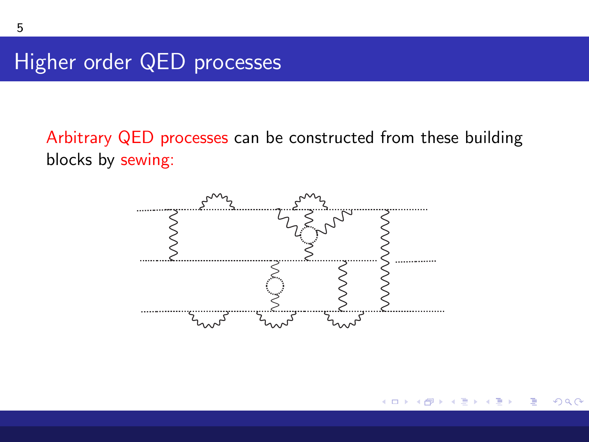Higher order QED processes

Arbitrary QED processes can be constructed from these building blocks by sewing:



ミト ∢ 로 ▶ : 로 : ◆ 9 Q O

**≮ロ ▶ ⊀ 伊 ▶ ⊀**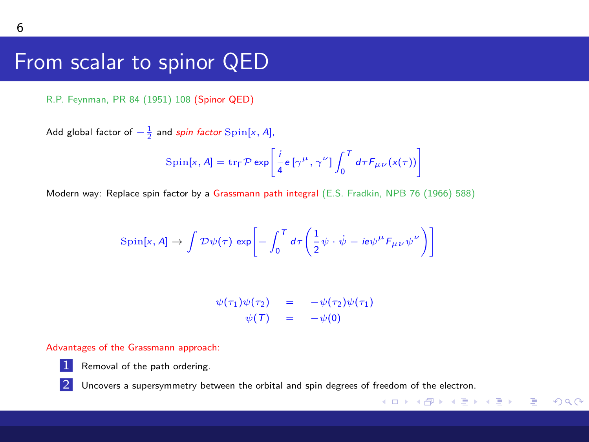#### From scalar to spinor QED

R.P. Feynman, PR 84 (1951) 108 (Spinor QED)

Add global factor of  $-\frac{1}{2}$  and *spin factor* Spin[x, A],

$$
\text{Spin}[x, A] = \text{tr}_{\Gamma} \mathcal{P} \exp \left[ \frac{i}{4} e \left[ \gamma^{\mu}, \gamma^{\nu} \right] \int_{0}^{T} d\tau F_{\mu\nu}(x(\tau)) \right]
$$

Modern way: Replace spin factor by a Grassmann path integral (E.S. Fradkin, NPB 76 (1966) 588)

$$
\text{Spin}[x, A] \to \int \mathcal{D}\psi(\tau) \, \exp\bigg[ -\int_0^T d\tau \bigg( \frac{1}{2} \psi \cdot \dot{\psi} - ie\psi^\mu F_{\mu\nu} \psi^\nu \bigg) \bigg]
$$

$$
\psi(\tau_1)\psi(\tau_2) = -\psi(\tau_2)\psi(\tau_1)
$$
  

$$
\psi(\mathcal{T}) = -\psi(0)
$$

K ロ ▶ K @ ▶ K 할 ▶ K 할 ▶ ( 할 ) 1000

#### Advantages of the Grassmann approach:



Removal of the path ordering.

2 Uncovers a supersymmetry between the orbital and spin degrees of freedom of the electron.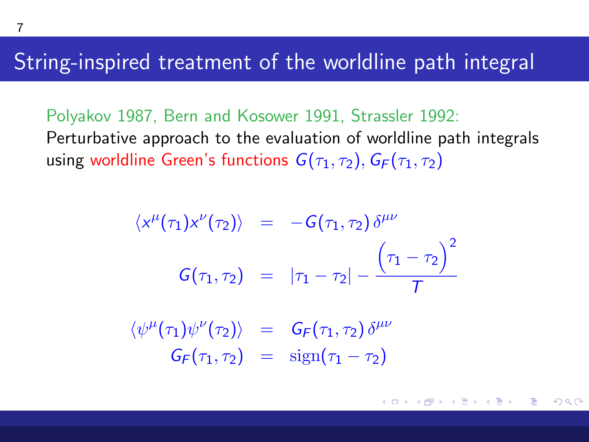#### <span id="page-6-0"></span>String-inspired treatment of the worldline path integral

Polyakov 1987, Bern and Kosower 1991, Strassler 1992: Perturbative approach to the evaluation of worldline path integrals using worldline Green's functions  $G(\tau_1, \tau_2)$ ,  $G_F(\tau_1, \tau_2)$ 

$$
\langle x^{\mu}(\tau_1) x^{\nu}(\tau_2) \rangle = -G(\tau_1, \tau_2) \delta^{\mu\nu}
$$

$$
G(\tau_1, \tau_2) = |\tau_1 - \tau_2| - \frac{(\tau_1 - \tau_2)^2}{T}
$$

 $\langle \psi^{\mu}(\tau_1) \psi^{\nu}(\tau_2) \rangle = G_F(\tau_1, \tau_2) \delta^{\mu \nu}$  $G_F(\tau_1, \tau_2) = \text{sign}(\tau_1 - \tau_2)$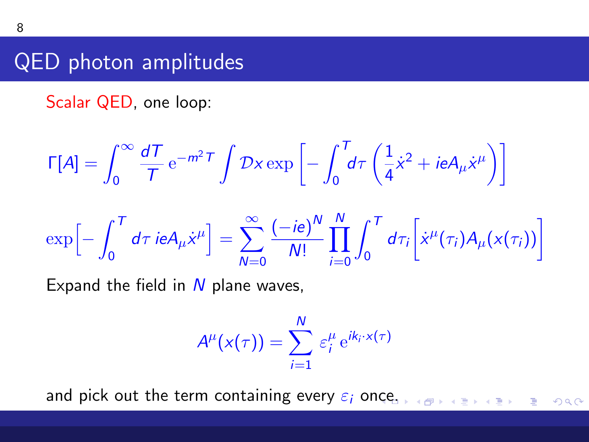## QED photon amplitudes

Scalar QED, one loop:

$$
\Gamma[A] = \int_0^\infty \frac{dT}{T} e^{-m^2 T} \int \mathcal{D}x \exp\left[-\int_0^T d\tau \left(\frac{1}{4}\dot{x}^2 + ieA_\mu \dot{x}^\mu\right)\right]
$$

$$
\exp\left[-\int_0^T d\tau \, i e A_\mu \dot{x}^\mu\right] = \sum_{N=0}^\infty \frac{(-ie)^N}{N!} \prod_{i=0}^N \int_0^T d\tau_i \bigg[ \dot{x}^\mu(\tau_i) A_\mu(x(\tau_i)) \bigg]
$$

Expand the field in  $N$  plane waves,

$$
A^{\mu}(x(\tau)) = \sum_{i=1}^{N} \varepsilon_i^{\mu} e^{ik_i \cdot x(\tau)}
$$

and pick out the term containing every  $\varepsilon_i$  o[nce](#page-6-0).  $E^*$  = 990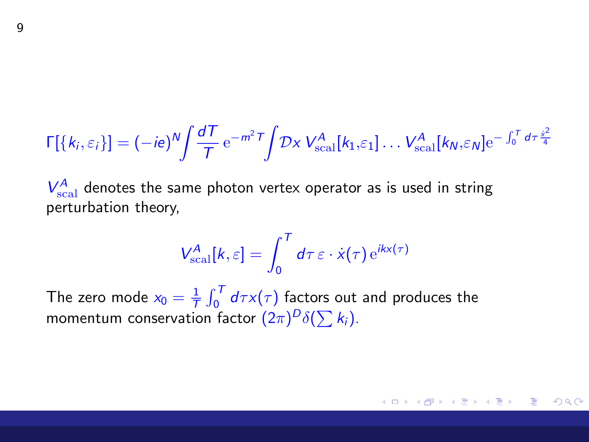$$
\Gamma[\{k_i,\varepsilon_i\}] = (-ie)^N \int \frac{dT}{T} e^{-m^2 T} \int \mathcal{D}x \, V_{\text{scal}}^A[k_1,\varepsilon_1] \dots V_{\text{scal}}^A[k_N,\varepsilon_N] e^{-\int_0^T d\tau \frac{\dot{x}^2}{4}}
$$

 $V_{\text{scal}}^A$  denotes the same photon vertex operator as is used in string perturbation theory,

$$
V_{\text{scal}}^A[k,\varepsilon] = \int_0^T d\tau \, \varepsilon \cdot \dot{x}(\tau) \, \mathrm{e}^{ikx(\tau)}
$$

The zero mode  $x_0 = \frac{1}{\overline{T}} \int_0^T d\tau x(\tau)$  factors out and produces the momentum conservation factor  $(2\pi)^D\delta(\sum k_i)$ .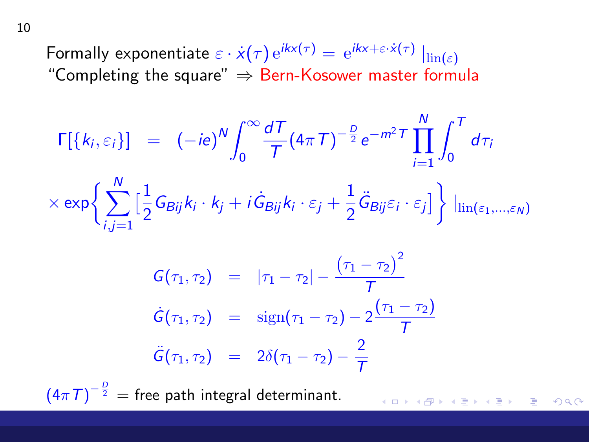Formally exponentiate  $\varepsilon \cdot \dot{x}(\tau) e^{ikx(\tau)} = e^{ikx + \varepsilon \cdot \dot{x}(\tau)} \left| \text{ln}(\varepsilon) \right|$ "Completing the square"  $\Rightarrow$  Bern-Kosower master formula

$$
\Gamma[\{k_i, \varepsilon_i\}] = (-ie)^N \int_0^\infty \frac{dT}{T} (4\pi T)^{-\frac{D}{2}} e^{-m^2 T} \prod_{i=1}^N \int_0^T d\tau_i
$$
  
 
$$
\times \exp \left\{ \sum_{i,j=1}^N \Big[ \frac{1}{2} G_{Bij} k_i \cdot k_j + i \dot{G}_{Bij} k_i \cdot \varepsilon_j + \frac{1}{2} \ddot{G}_{Bij} \varepsilon_i \cdot \varepsilon_j \Big] \right\} \left| \lim_{(\varepsilon_1, \dots, \varepsilon_N)} \right|
$$
  

$$
\left( \tau_1 - \tau_2 \right)^2
$$

$$
G(\tau_1, \tau_2) = |\tau_1 - \tau_2| - \frac{(\tau_1 - \tau_2)^2}{T}
$$
  
\n
$$
\dot{G}(\tau_1, \tau_2) = \text{sign}(\tau_1 - \tau_2) - 2\frac{(\tau_1 - \tau_2)}{T}
$$
  
\n
$$
\ddot{G}(\tau_1, \tau_2) = 2\delta(\tau_1 - \tau_2) - \frac{2}{T}
$$

 $\left(4\pi\,T\right)^{-\frac{D}{2}}=$  free path integral determinant.

メロメ メタメ メミメ メミメ 重  $2990$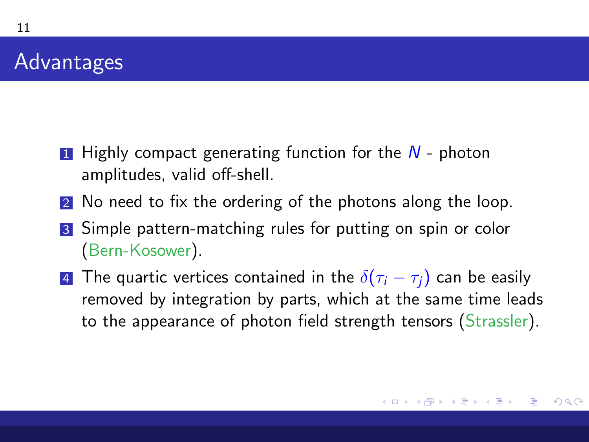#### Advantages

- 1 Highly compact generating function for the  $N$  photon amplitudes, valid off-shell.
- 2 No need to fix the ordering of the photons along the loop.
- 3 Simple pattern-matching rules for putting on spin or color (Bern-Kosower).
- 4 The quartic vertices contained in the  $\delta(\tau_i \tau_i)$  can be easily removed by integration by parts, which at the same time leads to the appearance of photon field strength tensors (Strassler).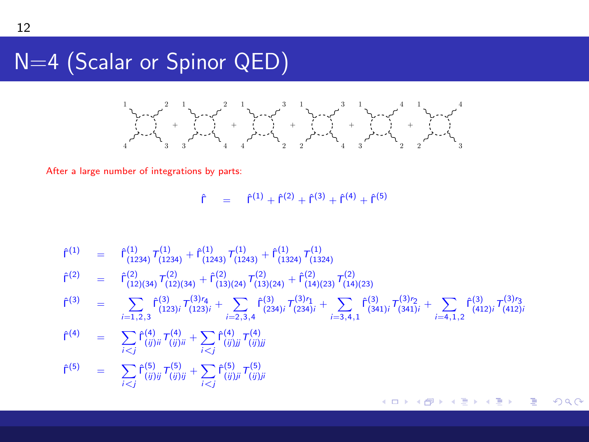#### N=4 (Scalar or Spinor QED)



After a large number of integrations by parts:

 $\hat{\Gamma}$  =  $\hat{\Gamma}^{(1)} + \hat{\Gamma}^{(2)} + \hat{\Gamma}^{(3)} + \hat{\Gamma}^{(4)} + \hat{\Gamma}^{(5)}$ 

$$
\begin{array}{rcl}\n\hat{\Gamma}^{(1)} & = & \hat{\Gamma}^{(1)}_{(1234)} \, \overline{\Gamma}^{(1)}_{(1243)} \, + \hat{\Gamma}^{(1)}_{(1243)} \, \overline{\Gamma}^{(1)}_{(1324)} \, \overline{\Gamma}^{(1)}_{(1324)} \\
\hat{\Gamma}^{(2)} & = & \hat{\Gamma}^{(2)}_{(12)(34)} \, \overline{\Gamma}^{(2)}_{(12)(34)} \, + \hat{\Gamma}^{(2)}_{(13)(24)} \, \overline{\Gamma}^{(2)}_{(13)(24)} \, + \hat{\Gamma}^{(2)}_{(14)(23)} \, \overline{\Gamma}^{(2)}_{(14)(23)} \\
\hat{\Gamma}^{(3)} & = & \sum_{i=1,2,3} \hat{\Gamma}^{(3)}_{(123)i} \, \overline{\Gamma}^{(3)}_{(123)i} + \sum_{i=2,3,4} \hat{\Gamma}^{(3)}_{(234)i} \, \overline{\Gamma}^{(3)}_{(234)i} + \sum_{i=3,4,1} \hat{\Gamma}^{(3)}_{(341)i} \, \overline{\Gamma}^{(3)}_{(341)i} + \sum_{i=4,1,2} \hat{\Gamma}^{(3)}_{(412)i} \, \overline{\Gamma}^{(3)}_{(412)i} \\
\hat{\Gamma}^{(4)} & = & \sum_{i < j} \hat{\Gamma}^{(4)}_{(ij)i} \, \overline{\Gamma}^{(4)}_{(ij)i} + \sum_{i < j} \hat{\Gamma}^{(4)}_{(ij)ji} \, \overline{\Gamma}^{(5)}_{(ij)i} \\
\hat{\Gamma}^{(5)} & = & \sum_{i < j} \hat{\Gamma}^{(5)}_{(ij)i} \, \overline{\Gamma}^{(5)}_{(ij)i} + \sum_{i < j} \hat{\Gamma}^{(5)}_{(ij)i} \, \overline{\Gamma}^{(5)}_{(ij)i} \\
\end{array}
$$

K □ ▶ K @ ▶ K 로 ▶ K 로 ▶ \_ 로 \_ K 9 Q @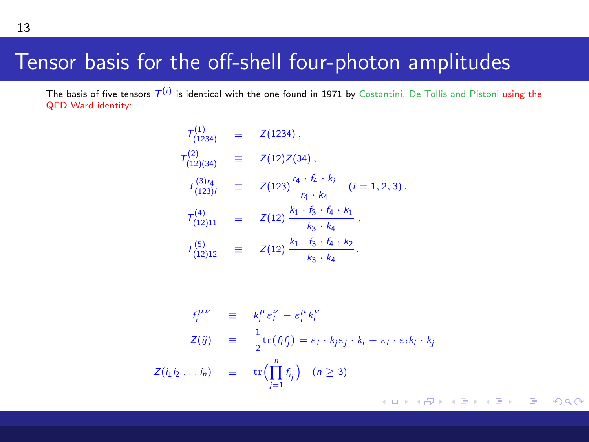#### Tensor basis for the off-shell four-photon amplitudes

The basis of five tensors  $T^{(i)}$  is identical with the one found in 1971 by Costantini, De Tollis and Pistoni using the QED Ward identity:

$$
T_{(1234)}^{(1)} = Z(1234),
$$
  
\n
$$
T_{(12)(34)}^{(2)} = Z(12)Z(34),
$$
  
\n
$$
T_{(123)i}^{(3)'} = Z(123)\frac{r_4 \cdot f_4 \cdot k_i}{r_4 \cdot k_4} \quad (i = 1, 2, 3),
$$
  
\n
$$
T_{(12)11}^{(4)} = Z(12)\frac{k_1 \cdot f_3 \cdot f_4 \cdot k_1}{k_3 \cdot k_4},
$$
  
\n
$$
T_{(12)12}^{(5)} = Z(12)\frac{k_1 \cdot f_3 \cdot f_4 \cdot k_2}{k_3 \cdot k_4}.
$$

$$
f_i^{\mu\nu} \equiv k_i^{\mu} \varepsilon_i^{\nu} - \varepsilon_i^{\mu} k_i^{\nu}
$$
  
\n
$$
Z(ij) \equiv \frac{1}{2} \text{tr}(f_i f_j) = \varepsilon_i \cdot k_j \varepsilon_j \cdot k_i - \varepsilon_i \cdot \varepsilon_i k_i \cdot k_j
$$
  
\n
$$
Z(i_1 i_2 \dots i_n) \equiv \text{tr} \left( \prod_{j=1}^n f_j \right) \quad (n \ge 3)
$$

13

メロメ メ御 メメ きょ メ ヨメ È.  $299$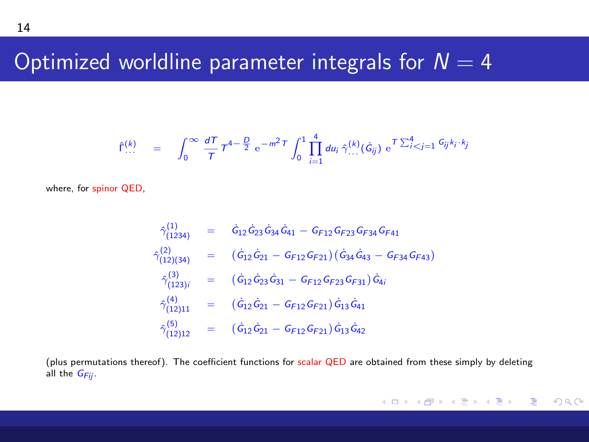#### Optimized worldline parameter integrals for  $N = 4$

$$
\hat{\Gamma}^{(k)}_{\cdots} = \int_0^\infty \frac{dT}{T} T^{4-\frac{D}{2}} e^{-m^2 T} \int_0^1 \prod_{i=1}^4 du_i \, \hat{\gamma}^{(k)}_{\cdots}(\hat{G}_{ij}) e^{T\sum_{i=1}^4 G_{ij} k_i \cdot k_j}
$$

where, for spinor QED,

$$
\begin{array}{rcl} \hat{\gamma}^{(1)}_{(1234)} & = & \hat{G}_{12}\hat{G}_{23}\hat{G}_{34}\hat{G}_{41} - G_{F12}G_{F23}G_{F34}G_{F41} \\ \hat{\gamma}^{(2)}_{(12)(34)} & = & \left(\hat{G}_{12}\hat{G}_{21} - G_{F12}G_{F21}\right)\left(\hat{G}_{34}\hat{G}_{43} - G_{F34}G_{F43}\right) \\ \hat{\gamma}^{(3)}_{(123)i} & = & \left(\hat{G}_{12}\hat{G}_{23}\hat{G}_{31} - G_{F12}G_{F23}G_{F31}\right)\hat{G}_{4i} \\ \hat{\gamma}^{(4)}_{(12)11} & = & \left(\hat{G}_{12}\hat{G}_{21} - G_{F12}G_{F21}\right)\hat{G}_{13}\hat{G}_{41} \\ \hat{\gamma}^{(5)}_{(12)12} & = & \left(\hat{G}_{12}\hat{G}_{21} - G_{F12}G_{F21}\right)\hat{G}_{13}\hat{G}_{42} \end{array}
$$

(plus permutations thereof). The coefficient functions for scalar QED are obtained from these simply by deleting all the  $G_{Fii}$ .

イロメ イ団メ イモメ イモメー  $E = \Omega Q$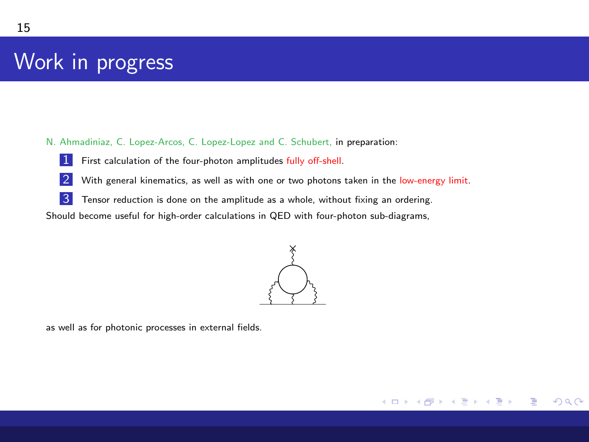## Work in progress

N. Ahmadiniaz, C. Lopez-Arcos, C. Lopez-Lopez and C. Schubert, in preparation:

- 1 First calculation of the four-photon amplitudes fully off-shell.
- 2 With general kinematics, as well as with one or two photons taken in the low-energy limit.
- **3** Tensor reduction is done on the amplitude as a whole, without fixing an ordering.

Should become useful for high-order calculations in QED with four-photon sub-diagrams,



メロトメ 倒 トメ ミトメ ミト

∍

 $\Omega$ 

as well as for photonic processes in external fields.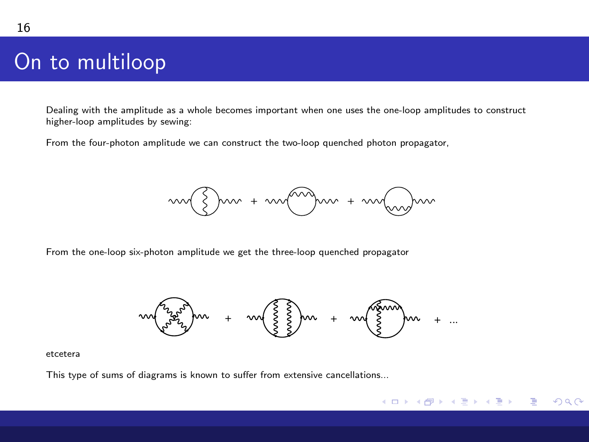# On to multiloop

Dealing with the amplitude as a whole becomes important when one uses the one-loop amplitudes to construct higher-loop amplitudes by sewing:

From the four-photon amplitude we can construct the two-loop quenched photon propagator,



From the one-loop six-photon amplitude we get the three-loop quenched propagator



K ロ ▶ K 御 ▶ K 君 ▶ K 君 ▶ ○ 君 → ⊙ Q ⊙

#### etcetera

This type of sums of diagrams is known to suffer from extensive cancellations...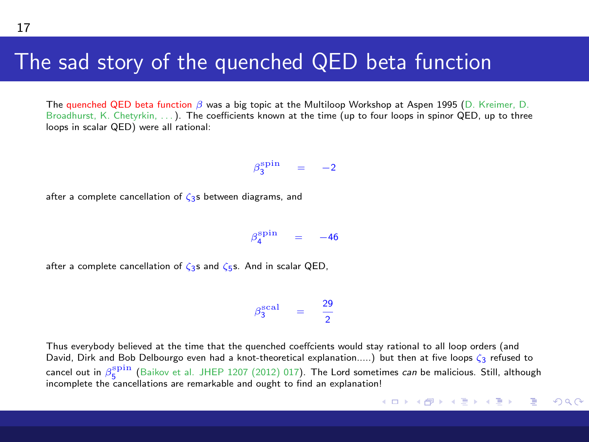#### The sad story of the quenched QED beta function

The quenched QED beta function β was a big topic at the Multiloop Workshop at Aspen 1995 (D. Kreimer, D. Broadhurst, K. Chetyrkin, ...). The coefficients known at the time (up to four loops in spinor QED, up to three loops in scalar QED) were all rational:

 $\beta_3^{\text{spin}} = -2$ 

after a complete cancellation of  $\zeta_2$ s between diagrams, and

 $\beta_4^{\text{spin}} = -46$ 

after a complete cancellation of  $\zeta_3$ s and  $\zeta_5$ s. And in scalar QED,

 $\beta_3^{\text{scal}} = \frac{29}{2}$ 2

Thus everybody believed at the time that the quenched coeffcients would stay rational to all loop orders (and David, Dirk and Bob Delbourgo even had a knot-theoretical explanation.....) but then at five loops ζ3 refused to cancel out in  $\beta_5^{\rm spin}$  (Baikov et al. JHEP 1207 (2012) 017). The Lord sometimes *can* be malicious. Still, although Cancel out in  $p_5$  (Balkov et al. 311LF 1207 (2012) 017). The Lord sometrical transmission of the cancellations are remarkable and ought to find an explanation!

メロメ メタメ メミメ メミメン 毛り  $\Omega$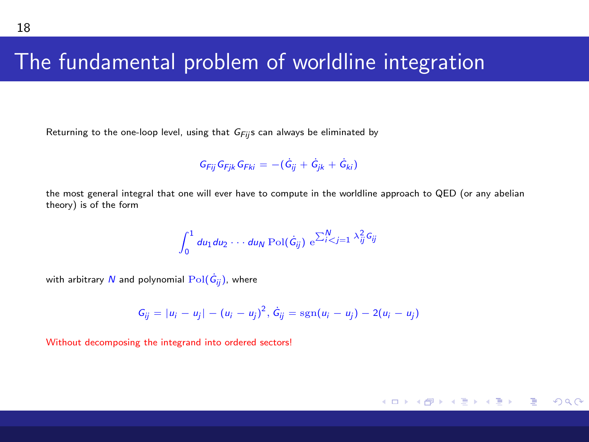#### The fundamental problem of worldline integration

Returning to the one-loop level, using that  $G_{Fij}$ s can always be eliminated by

$$
G_{Fij}G_{Fjk}G_{Fki} = -(\dot{G}_{ij} + \dot{G}_{jk} + \dot{G}_{ki})
$$

the most general integral that one will ever have to compute in the worldline approach to QED (or any abelian theory) is of the form

$$
\int_0^1 du_1 du_2 \cdots du_N \operatorname{Pol}(\dot{G}_{ij}) \mathrm{e}^{\sum_{i=1}^N \lambda_{ij}^2 G_{ij}}
$$

with arbitrary  $N$  and polynomial  ${\rm Pol}(\dot{\mathsf{G}}_{ij})$ , where

$$
G_{ij} = |u_i - u_j| - (u_i - u_j)^2, \, \dot{G}_{ij} = \text{sgn}(u_i - u_j) - 2(u_i - u_j)
$$

メロメメ 倒 メメ きょく きょう

Ε

 $\Omega$ 

Without decomposing the integrand into ordered sectors!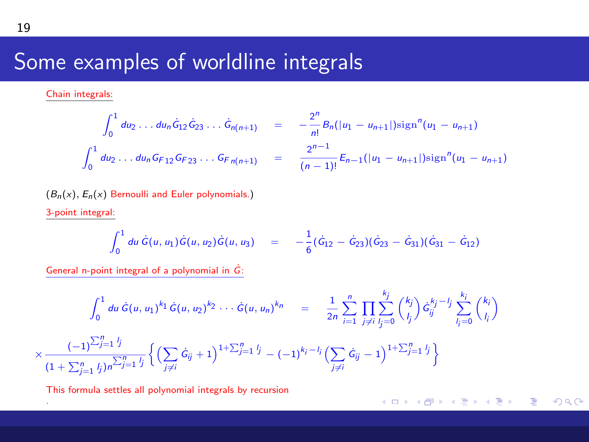# Some examples of worldline integrals

Chain integrals:

.

$$
\int_0^1 du_2 \dots du_n \hat{G}_{12} \hat{G}_{23} \dots \hat{G}_{n(n+1)} = -\frac{2^n}{n!} B_n(|u_1 - u_{n+1}|) \text{sign}^n(u_1 - u_{n+1})
$$
  

$$
\int_0^1 du_2 \dots du_n G_{F12} G_{F23} \dots G_{Fn(n+1)} = \frac{2^{n-1}}{(n-1)!} E_{n-1}(|u_1 - u_{n+1}|) \text{sign}^n(u_1 - u_{n+1})
$$

 $(B_n(x), E_n(x))$  Bernoulli and Euler polynomials.) 3-point integral:

$$
\int_0^1 du \, \dot{G}(u, u_1) \dot{G}(u, u_2) \dot{G}(u, u_3) = -\frac{1}{6} (\dot{G}_{12} - \dot{G}_{23}) (\dot{G}_{23} - \dot{G}_{31}) (\dot{G}_{31} - \dot{G}_{12})
$$

メロメ メ御 メメ きょ メ ヨメー

 $\equiv$  990

General n-point integral of a polynomial in  $\dot{G}$ :

$$
\int_0^1 du \, \dot{G}(u, u_1)^{k_1} \dot{G}(u, u_2)^{k_2} \cdots \dot{G}(u, u_n)^{k_n} = \frac{1}{2n} \sum_{i=1}^n \prod_{j \neq i} \sum_{j=0}^{k_j} {k_j \choose i_j} \dot{G}_{ij}^{k_j - 1} \sum_{l_j=0}^{k_j} {k_l \choose l_j}
$$

$$
\times \frac{(-1)^{\sum_{j=1}^n l_j}}{(1 + \sum_{j=1}^n l_j) n^{\sum_{j=1}^n l_j}} \left\{ \left( \sum_{j \neq i} \dot{G}_{ij} + 1 \right)^{1 + \sum_{j=1}^n l_j} - (-1)^{k_j - l_j} \left( \sum_{j \neq i} \dot{G}_{ij} - 1 \right)^{1 + \sum_{j=1}^n l_j} \right\}
$$

This formula settles all polynomial integrals by recursion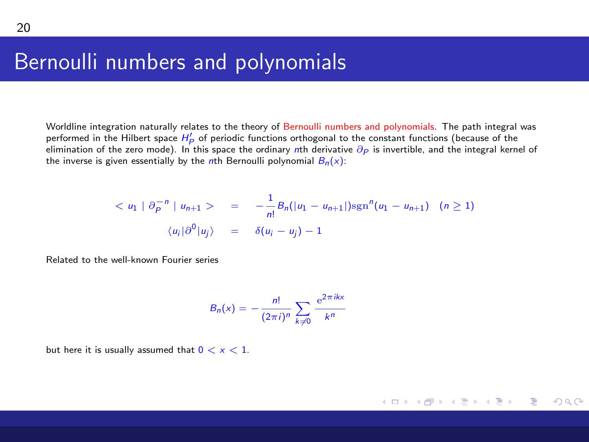#### Bernoulli numbers and polynomials

Worldline integration naturally relates to the theory of Bernoulli numbers and polynomials. The path integral was performed in the Hilbert space  $H'_P$  of periodic functions orthogonal to the constant functions (because of the elimination of the zero mode). In this space the ordinary nth derivative  $\partial p$  is invertible, and the integral kernel of elimination of the zero mode). In this space the ordinary nth derivative  $\partial p$  is invertible, and th the inverse is given essentially by the nth Bernoulli polynomial  $B_n(x)$ :

$$
\langle u_1 | \partial_P^{-n} | u_{n+1} \rangle = -\frac{1}{n!} B_n(|u_1 - u_{n+1}|) \text{sgn}^n(u_1 - u_{n+1}) \quad (n \ge 1)
$$
  

$$
\langle u_i | \partial^0 | u_j \rangle = \delta(u_i - u_j) - 1
$$

Related to the well-known Fourier series

$$
B_n(x) = -\frac{n!}{(2\pi i)^n} \sum_{k\neq 0} \frac{e^{2\pi i kx}}{k^n}
$$

メロメメ 倒 メメ きょくきょ

Ξ

 $\Omega$ 

but here it is usually assumed that  $0 < x < 1$ .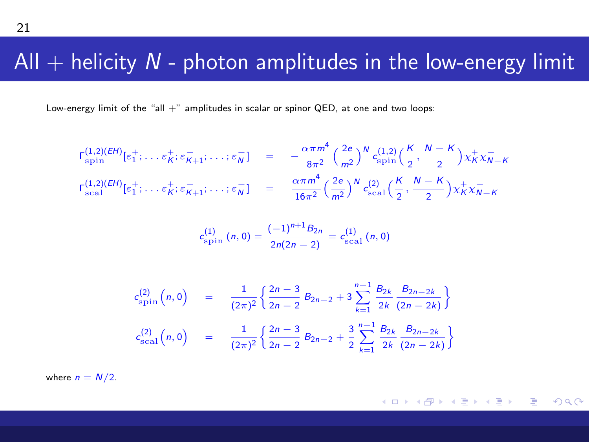#### All  $+$  helicity  $N$  - photon amplitudes in the low-energy limit

Low-energy limit of the "all  $+$ " amplitudes in scalar or spinor QED, at one and two loops:

$$
r_{\rm spin}^{(1,2)(EH)}[\varepsilon_1^+;\ldots\varepsilon_K^+;\varepsilon_{K+1}^-;\ldots;\varepsilon_N^-] = -\frac{\alpha\pi m^4}{8\pi^2} \left(\frac{2e}{m^2}\right)^N c_{\rm spin}^{(1,2)}\left(\frac{K}{2},\frac{N-K}{2}\right) \chi_K^+ \chi_{N-K}^-
$$
  

$$
r_{\rm scal}^{(1,2)(EH)}[\varepsilon_1^+;\ldots\varepsilon_K^+;\varepsilon_{K+1}^-;\ldots;\varepsilon_N^-] = \frac{\alpha\pi m^4}{16\pi^2} \left(\frac{2e}{m^2}\right)^N c_{\rm scal}^{(2)}\left(\frac{K}{2},\frac{N-K}{2}\right) \chi_K^+ \chi_{N-K}^-
$$

$$
c_{\text{spin}}^{(1)}(n,0) = \frac{(-1)^{n+1}B_{2n}}{2n(2n-2)} = c_{\text{scal}}^{(1)}(n,0)
$$

$$
c_{\rm spin}^{(2)}(n,0) = \frac{1}{(2\pi)^2} \left\{ \frac{2n-3}{2n-2} B_{2n-2} + 3 \sum_{k=1}^{n-1} \frac{B_{2k}}{2k} \frac{B_{2n-2k}}{(2n-2k)} \right\}
$$
  

$$
c_{\rm scal}^{(2)}(n,0) = \frac{1}{(2\pi)^2} \left\{ \frac{2n-3}{2n-2} B_{2n-2} + \frac{3}{2} \sum_{k=1}^{n-1} \frac{B_{2k}}{2k} \frac{B_{2n-2k}}{(2n-2k)} \right\}
$$

where  $n = N/2$ .

メロメ メ御 メメ きょくきょう ミー  $2990$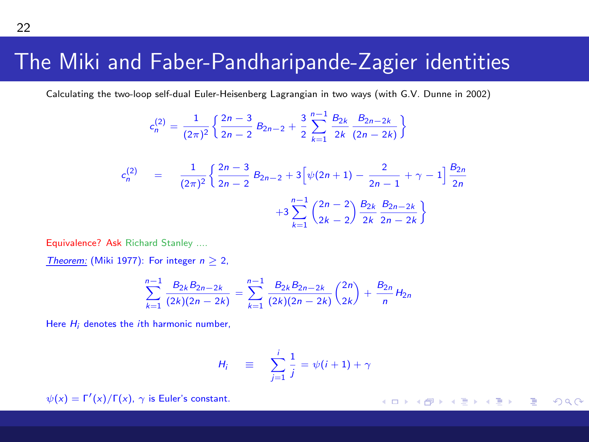#### The Miki and Faber-Pandharipande-Zagier identities

Calculating the two-loop self-dual Euler-Heisenberg Lagrangian in two ways (with G.V. Dunne in 2002)

$$
c_n^{(2)} = \frac{1}{(2\pi)^2} \left\{ \frac{2n-3}{2n-2} B_{2n-2} + \frac{3}{2} \sum_{k=1}^{n-1} \frac{B_{2k}}{2k} \frac{B_{2n-2k}}{(2n-2k)} \right\}
$$
  

$$
c_n^{(2)} = \frac{1}{(2\pi)^2} \left\{ \frac{2n-3}{2n-2} B_{2n-2} + 3 \left[ \psi(2n+1) - \frac{2}{2n-1} + \gamma - 1 \right] \frac{B_{2n}}{2n} + 3 \sum_{k=1}^{n-1} \left( \frac{2n-2}{2k-2} \right) \frac{B_{2k}}{2k} \frac{B_{2n-2k}}{2n-2k} \right\}
$$

Equivalence? Ask Richard Stanley ....

Theorem: (Miki 1977): For integer  $n > 2$ ,

$$
\sum_{k=1}^{n-1} \frac{B_{2k}B_{2n-2k}}{(2k)(2n-2k)} = \sum_{k=1}^{n-1} \frac{B_{2k}B_{2n-2k}}{(2k)(2n-2k)} {2n \choose 2k} + \frac{B_{2n}}{n}H_{2n}
$$

Here  $H_i$  denotes the *i*th harmonic number,

$$
H_i \equiv \sum_{j=1}^i \frac{1}{j} = \psi(i+1) + \gamma
$$

 $ψ(x) = Γ'(x)/Γ(x)$ ,  $γ$  is Euler's constant.

メロメ メ御 メメ きょくきょう ミー  $\Omega$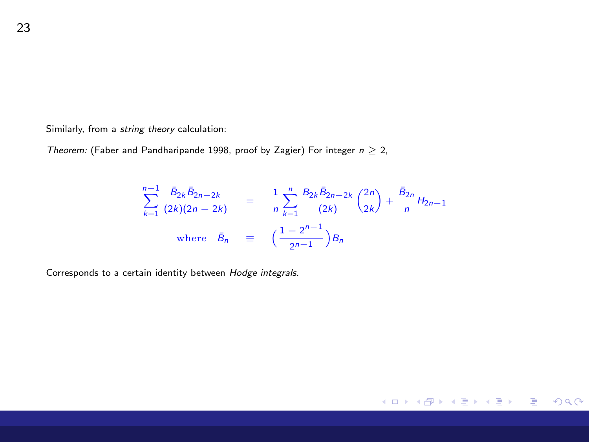Similarly, from a string theory calculation:

Theorem: (Faber and Pandharipande 1998, proof by Zagier) For integer  $n \geq 2$ ,

$$
\sum_{k=1}^{n-1} \frac{\bar{B}_{2k}\bar{B}_{2n-2k}}{(2k)(2n-2k)} = \frac{1}{n} \sum_{k=1}^{n} \frac{B_{2k}\bar{B}_{2n-2k}}{(2k)} {2n \choose 2k} + \frac{\bar{B}_{2n}}{n} H_{2n-1}
$$
  
where  $\bar{B}_n \equiv \left(\frac{1-2^{n-1}}{2^{n-1}}\right)B_n$ 

メロメメ 倒 メメモメメモメー ヨー のなめ

Corresponds to a certain identity between Hodge integrals.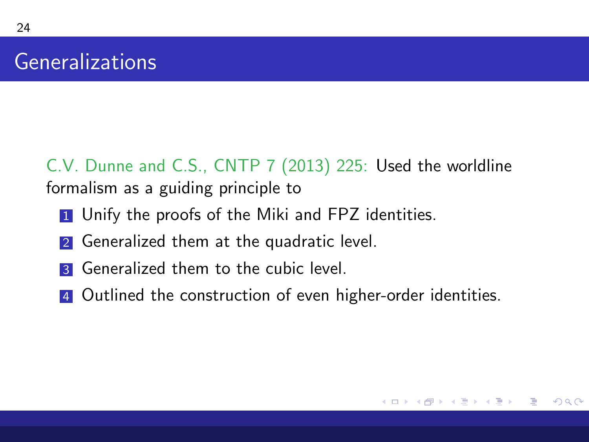24

C.V. Dunne and C.S., CNTP 7 (2013) 225: Used the worldline formalism as a guiding principle to

- **1** Unify the proofs of the Miki and FPZ identities.
- 2 Generalized them at the quadratic level.
- **3** Generalized them to the cubic level.
- 4 Outlined the construction of even higher-order identities.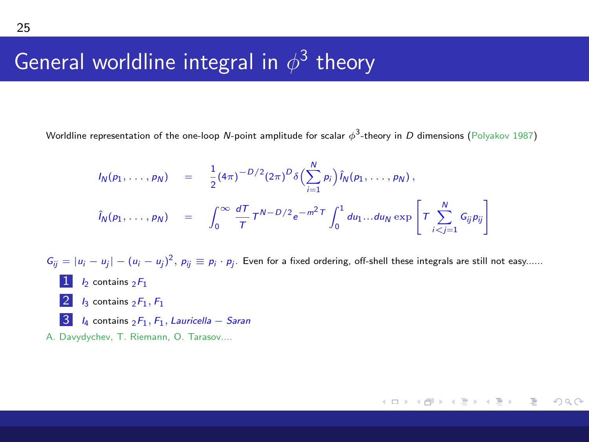# General worldline integral in  $\phi^3$  theory

Worldline representation of the one-loop  $N$ -point amplitude for scalar  $\phi^3$ -theory in  $D$  dimensions (<code>Polyakov 1987</code>)

 $I_N(p_1, \ldots, p_N) = \frac{1}{2}$  $\frac{1}{2}(4\pi)^{-D/2}(2\pi)^D\delta\Bigl(\sum_{i=1}^N p_i\Bigr)\hat{i}_N(p_1,\ldots,p_N)\,,$  $i=1$  $\hat{I}_N(p_1,\ldots,p_N)$  =  $\int_0^\infty$ dT  $\frac{dT}{T}T^{N-D/2}e^{-m^2T}\int_0^1$ ' du $_1$ ...du $_N$ exp Г  $\tau \sum_{ }^N$  $\sum_{i < j = 1} G_{ij} p_{ij}$ ٦ T.  $G_{ij} = |u_i - u_j| - (u_i - u_j)^2$ ,  $p_{ij} \equiv p_i \cdot p_j$ . Even for a fixed ordering, off-shell these integrals are still not easy......  $1 h$  contains  $2F_1$  $2 \,$  I<sub>3</sub> contains  $2F_1$ ,  $F_1$  $3I_4$  contains  $2F_1$ ,  $F_1$ , Lauricella – Saran A. Davydychev, T. Riemann, O. Tarasov....

メロトメ 御 トメ 君 トメ 君 トー 君

 $\Omega$ 

25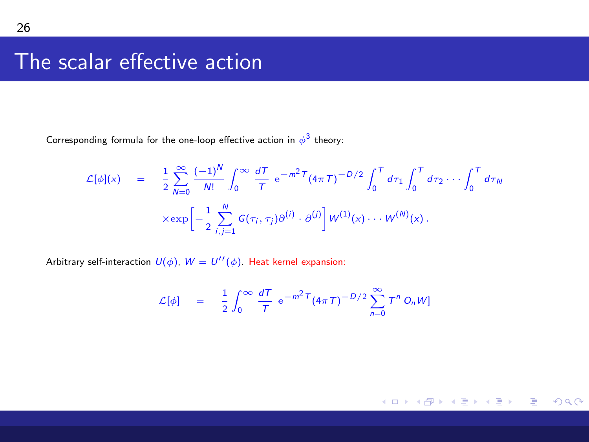# The scalar effective action

Corresponding formula for the one-loop effective action in  $\phi^3$  theory:

$$
\mathcal{L}[\phi](x) = \frac{1}{2} \sum_{N=0}^{\infty} \frac{(-1)^N}{N!} \int_0^{\infty} \frac{dT}{T} e^{-m^2 T} (4\pi T)^{-D/2} \int_0^T d\tau_1 \int_0^T d\tau_2 \cdots \int_0^T d\tau_N
$$

$$
\times \exp \left[ -\frac{1}{2} \sum_{i,j=1}^N G(\tau_i, \tau_j) \partial^{(i)} \cdot \partial^{(j)} \right] W^{(1)}(x) \cdots W^{(N)}(x).
$$

Arbitrary self-interaction  $U(\phi)$ ,  $W = U^{\prime\prime}(\phi)$ . Heat kernel expansion:

$$
\mathcal{L}[\phi] = \frac{1}{2} \int_0^\infty \frac{dT}{T} e^{-m^2 T} (4\pi T)^{-D/2} \sum_{n=0}^\infty T^n O_n W
$$

メロメメ 御 メメ きょく モメー 重  $2990$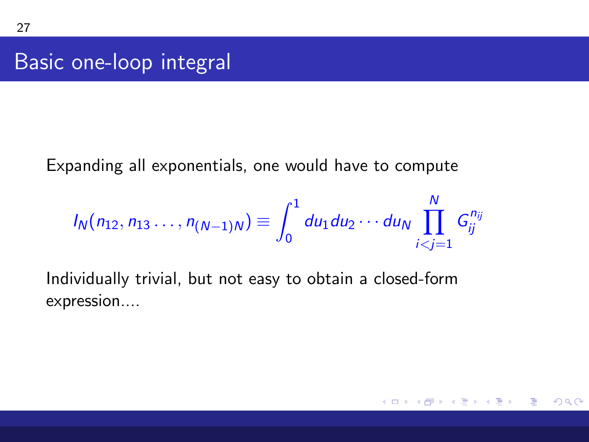<span id="page-26-0"></span>Basic one-loop integral

Expanding all exponentials, one would have to compute

$$
I_N(n_{12}, n_{13}, \ldots, n_{(N-1)N}) \equiv \int_0^1 du_1 du_2 \cdots du_N \prod_{i < j = 1}^N G_{ij}^{n_{ij}}
$$

Individually trivial, but not easy to obtain a closed-form expression....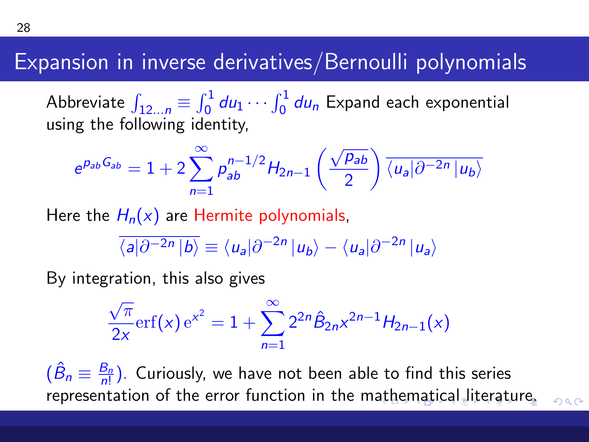# <span id="page-27-0"></span>Expansion in inverse derivatives/Bernoulli polynomials

Abbreviate  $\int_{12...n} \equiv \int_0^1 du_1 \cdots \int_0^1 du_n$  Expand each exponential using the following identity,

$$
e^{p_{ab}G_{ab}}=1+2\sum_{n=1}^{\infty}p_{ab}^{n-1/2}H_{2n-1}\left(\frac{\sqrt{p_{ab}}}{2}\right)\overline{\langle u_a|\partial^{-2n}|u_b\rangle}
$$

Here the  $H_n(x)$  are Hermite polynomials,

$$
\overline{\langle a|\partial^{-2n}|b\rangle} \equiv \langle u_a|\partial^{-2n}|u_b\rangle - \langle u_a|\partial^{-2n}|u_a\rangle
$$

By integration, this also gives

$$
\frac{\sqrt{\pi}}{2x} \text{erf}(x) e^{x^2} = 1 + \sum_{n=1}^{\infty} 2^{2n} \hat{B}_{2n} x^{2n-1} H_{2n-1}(x)
$$

 $(\hat{B}_n \equiv \frac{B_n}{n!})$ . Curiously, we have not been able to find this series representation of the error function in the m[ath](#page-26-0)[e](#page-28-0)[m](#page-26-0)[ati](#page-27-0)[c](#page-28-0)[al](#page-0-0) [lit](#page-31-0)[er](#page-0-0)[atu](#page-31-0)[re](#page-0-0)[.](#page-31-0)

 $QQ$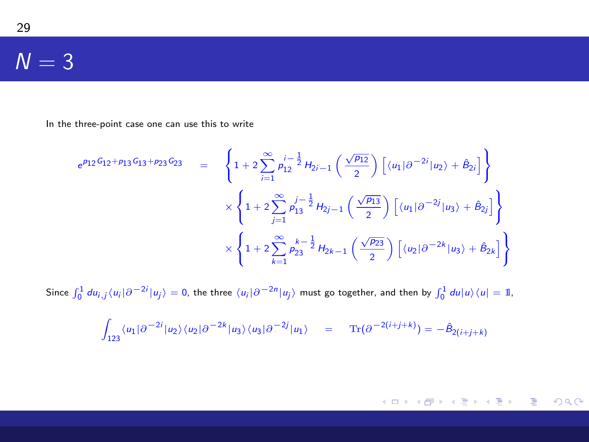#### $N = 3$

<span id="page-28-0"></span>29

In the three-point case one can use this to write

$$
e^{\rho_{12}G_{12} + \rho_{13}G_{13} + \rho_{23}G_{23}} = \left\{ 1 + 2 \sum_{i=1}^{\infty} \rho_{12}^{i - \frac{1}{2}} H_{2i-1} \left( \frac{\sqrt{\rho_{12}}}{2} \right) \left[ \langle u_1 | \partial^{-2i} | u_2 \rangle + \hat{B}_{2i} \right] \right\}
$$
  

$$
\times \left\{ 1 + 2 \sum_{j=1}^{\infty} \rho_{13}^{j - \frac{1}{2}} H_{2j-1} \left( \frac{\sqrt{\rho_{13}}}{2} \right) \left[ \langle u_1 | \partial^{-2j} | u_3 \rangle + \hat{B}_{2j} \right] \right\}
$$
  

$$
\times \left\{ 1 + 2 \sum_{k=1}^{\infty} \rho_{23}^{k - \frac{1}{2}} H_{2k-1} \left( \frac{\sqrt{\rho_{23}}}{2} \right) \left[ \langle u_2 | \partial^{-2k} | u_3 \rangle + \hat{B}_{2k} \right] \right\}
$$

Since  $\int_0^1 du_{i,j}\langle u_i|\partial^{-2i}|u_j\rangle = 0$ , the three  $\langle u_i|\partial^{-2n}|u_j\rangle$  must go together, and then by  $\int_0^1 du|u\rangle\langle u| = 1$ ,

$$
\int_{123} \langle u_1 | \partial^{-2i} | u_2 \rangle \langle u_2 | \partial^{-2k} | u_3 \rangle \langle u_3 | \partial^{-2j} | u_1 \rangle = \operatorname{Tr}(\partial^{-2(i+j+k)}) = -\hat{B}_{2(i+j+k)}
$$

K ロ → K 御 → K 君 → K 君 → 三君 → の Q Q →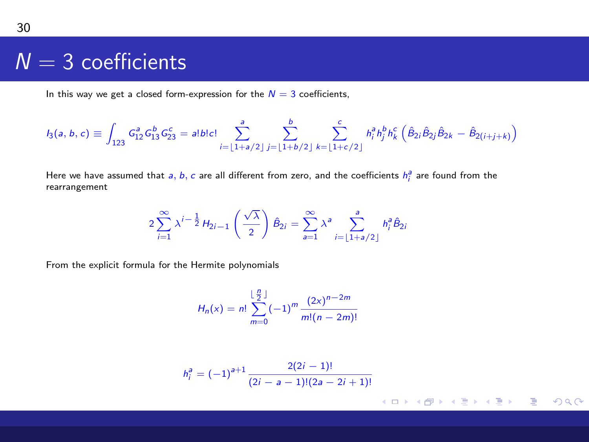#### $N = 3$  coefficients

In this way we get a closed form-expression for the  $N = 3$  coefficients,

$$
I_3(a, b, c) \equiv \int_{123} G_{12}^a G_{13}^b G_{23}^c = a! b! c! \sum_{i=\lfloor 1+a/2 \rfloor}^a \sum_{j=\lfloor 1+b/2 \rfloor}^b \sum_{k=\lfloor 1+c/2 \rfloor}^c h_i^a h_j^b h_k^c \left( \hat{B}_{2i} \hat{B}_{2j} \hat{B}_{2k} - \hat{B}_{2(i+j+k)} \right)
$$

Here we have assumed that  $a, b, c$  are all different from zero, and the coefficients  $h_i^a$  are found from the rearrangement

$$
2\sum_{i=1}^{\infty}\lambda^{i-\frac{1}{2}}H_{2i-1}\left(\frac{\sqrt{\lambda}}{2}\right)\hat{B}_{2i}=\sum_{a=1}^{\infty}\lambda^{a}\sum_{i=\lfloor 1+a/2\rfloor}^{a}h_{i}^{a}\hat{B}_{2i}
$$

From the explicit formula for the Hermite polynomials

$$
H_n(x) = n! \sum_{m=0}^{\lfloor \frac{n}{2} \rfloor} (-1)^m \frac{(2x)^{n-2m}}{m!(n-2m)!}
$$

n was

$$
h_i^a = (-1)^{a+1} \frac{2(2i-1)!}{(2i-a-1)!(2a-2i+1)!}
$$

メロトメ 御 トメ き トメ き トー

■  $2990$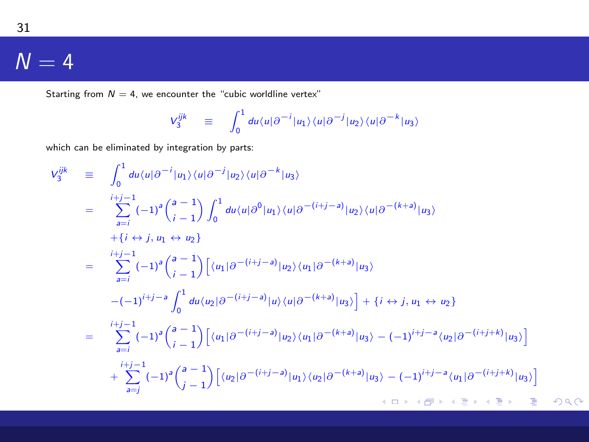#### $N = 4$

Starting from  $N = 4$ , we encounter the "cubic worldline vertex"

$$
V_3^{ijk} \equiv \int_0^1 du \langle u | \partial^{-i} | u_1 \rangle \langle u | \partial^{-j} | u_2 \rangle \langle u | \partial^{-k} | u_3 \rangle
$$

which can be eliminated by integration by parts:

$$
V_{3}^{ijk} = \int_{0}^{1} du \langle u | \partial^{-i} | u_{1} \rangle \langle u | \partial^{-j} | u_{2} \rangle \langle u | \partial^{-k} | u_{3} \rangle
$$
  
\n
$$
= \sum_{a=i}^{i+j-1} (-1)^{a} {a-1 \choose i-1} \int_{0}^{1} du \langle u | \partial^{0} | u_{1} \rangle \langle u | \partial^{-(i+j-a)} | u_{2} \rangle \langle u | \partial^{-(k+a)} | u_{3} \rangle
$$
  
\n
$$
+ \{i \leftrightarrow j, u_{1} \leftrightarrow u_{2}\}
$$
  
\n
$$
= \sum_{a=i}^{i+j-1} (-1)^{a} {a-1 \choose i-1} \left[ \langle u_{1} | \partial^{-(i+j-a)} | u_{2} \rangle \langle u_{1} | \partial^{-(k+a)} | u_{3} \rangle \right]
$$
  
\n
$$
-(-1)^{i+j-a} \int_{0}^{1} du \langle u_{2} | \partial^{-(i+j-a)} | u \rangle \langle u | \partial^{-(k+a)} | u_{3} \rangle \right] + \{i \leftrightarrow j, u_{1} \leftrightarrow u_{2}\}
$$
  
\n
$$
= \sum_{a=i}^{i+j-1} (-1)^{a} {a-1 \choose i-1} \left[ \langle u_{1} | \partial^{-(i+j-a)} | u_{2} \rangle \langle u_{1} | \partial^{-(k+a)} | u_{3} \rangle - (-1)^{i+j-a} \langle u_{2} | \partial^{-(i+j+k)} | u_{3} \rangle \right]
$$
  
\n
$$
+ \sum_{a=j}^{i+j-1} (-1)^{a} {a-1 \choose j-1} \left[ \langle u_{2} | \partial^{-(i+j-a)} | u_{1} \rangle \langle u_{2} | \partial^{-(k+a)} | u_{3} \rangle - (-1)^{i+j-a} \langle u_{1} | \partial^{-(i+j+k)} | u_{3} \rangle \right]
$$
  
\n
$$
+ \langle u_{1} | u_{2} | u_{3} \rangle + \langle u_{2} | u_{3} | u_{3} | u_{3} \rangle + \langle u_{2} | u_{3} | u_{3} | u_{3} | u_{3} \rangle + \langle u_{1} | u_{2} | u_{3} | u_{3} | u_{3} | u_{3} \rangle + \langle u_{2} | u_{3} | u_{3} | u_{3} | u_{3
$$